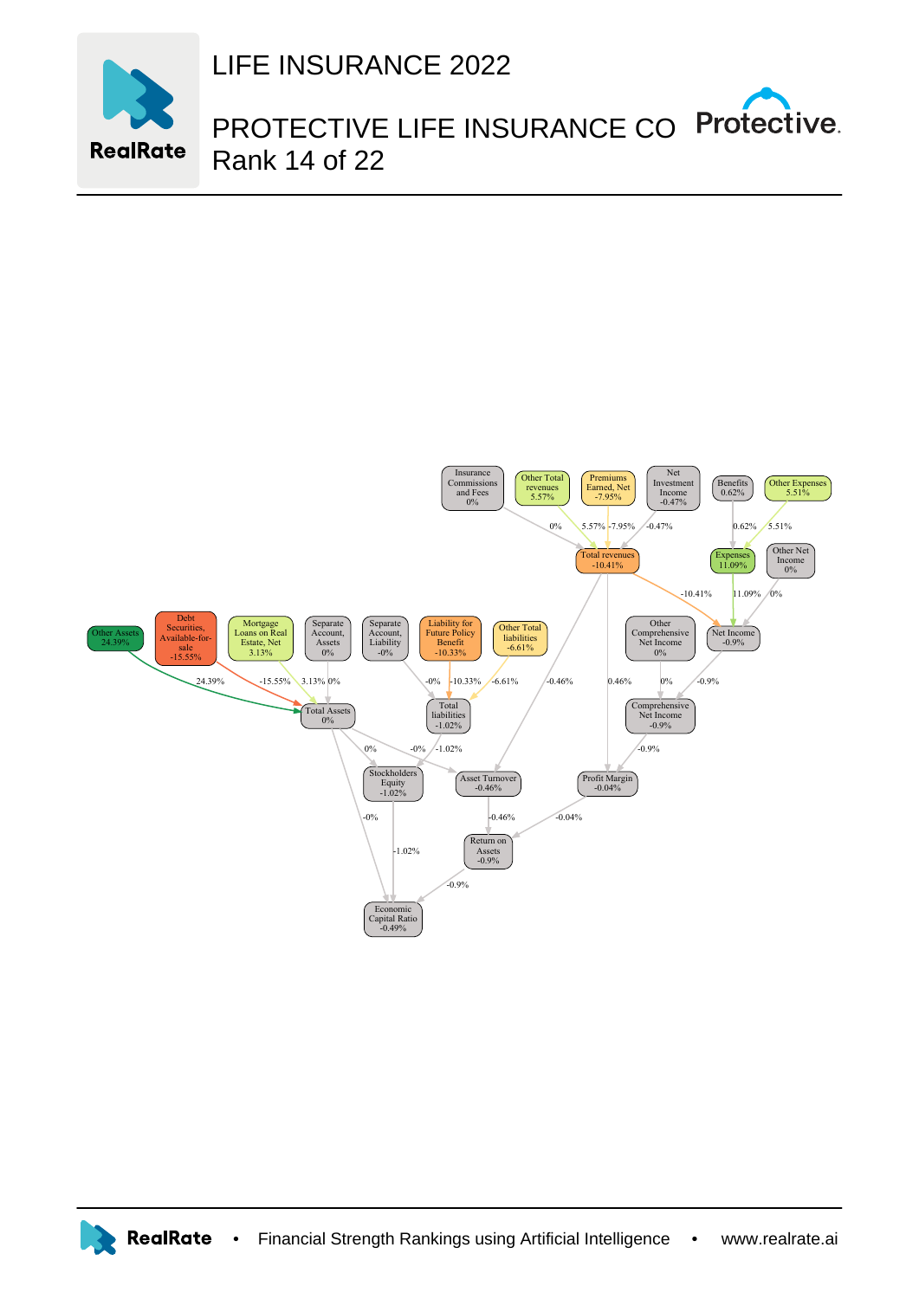

LIFE INSURANCE 2022

PROTECTIVE LIFE INSURANCE CO Protective. Rank 14 of 22